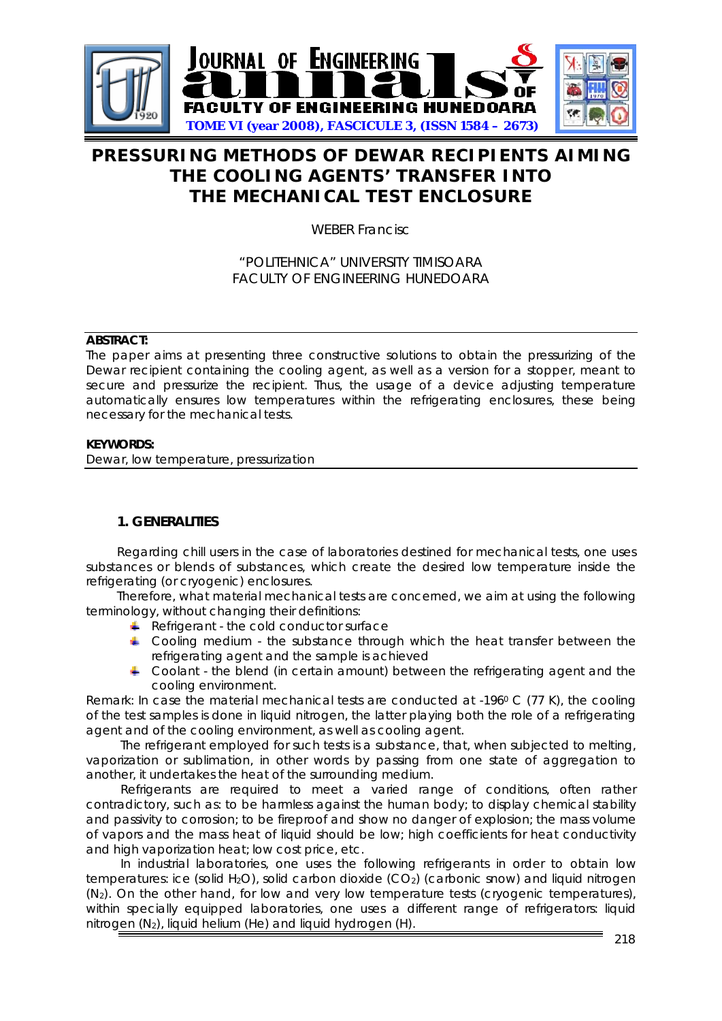

# **PRESSURING METHODS OF DEWAR RECIPIENTS AIMING THE COOLING AGENTS' TRANSFER INTO THE MECHANICAL TEST ENCLOSURE**

WEBER Francisc

## "POLITEHNICA" UNIVERSITY TIMISOARA FACULTY OF ENGINEERING HUNEDOARA

#### **ABSTRACT:**

The paper aims at presenting three constructive solutions to obtain the pressurizing of the Dewar recipient containing the cooling agent, as well as a version for a stopper, meant to secure and pressurize the recipient. Thus, the usage of a device adjusting temperature automatically ensures low temperatures within the refrigerating enclosures, these being necessary for the mechanical tests.

#### **KEYWORDS:**

Dewar, low temperature, pressurization

## **1. GENERALITIES**

Regarding chill users in the case of laboratories destined for mechanical tests, one uses substances or blends of substances, which create the desired low temperature inside the refrigerating (or cryogenic) enclosures.

Therefore, what material mechanical tests are concerned, we aim at using the following terminology, without changing their definitions:

- *Refrigerant* the cold conductor surface
- **Cooling medium** the substance through which the heat transfer between the refrigerating agent and the sample is achieved
- **Coolant** the blend (in certain amount) between the refrigerating agent and the cooling environment.

*Remark:* In case the material mechanical tests are conducted at -196<sup>0</sup> C (77 K), the cooling of the test samples is done in liquid nitrogen, the latter playing both the role of a refrigerating agent and of the cooling environment, as well as cooling agent.

The *refrigerant* employed for such tests is a substance, that, when subjected to melting, vaporization or sublimation, in other words by passing from one state of aggregation to another, it undertakes the heat of the surrounding medium.

Refrigerants are required to meet a varied range of conditions, often rather contradictory, such as: to be harmless against the human body; to display chemical stability and passivity to corrosion; to be fireproof and show no danger of explosion; the mass volume of vapors and the mass heat of liquid should be low; high coefficients for heat conductivity and high vaporization heat; low cost price, etc.

In industrial laboratories, one uses the following refrigerants in order to obtain low temperatures: ice (solid H<sub>2</sub>O), solid carbon dioxide (CO<sub>2</sub>) (carbonic snow) and liquid nitrogen (N2). On the other hand, for low and very low temperature tests (cryogenic temperatures), within specially equipped laboratories, one uses a different range of refrigerators: liquid nitrogen (N2), liquid helium (He) and liquid hydrogen (H).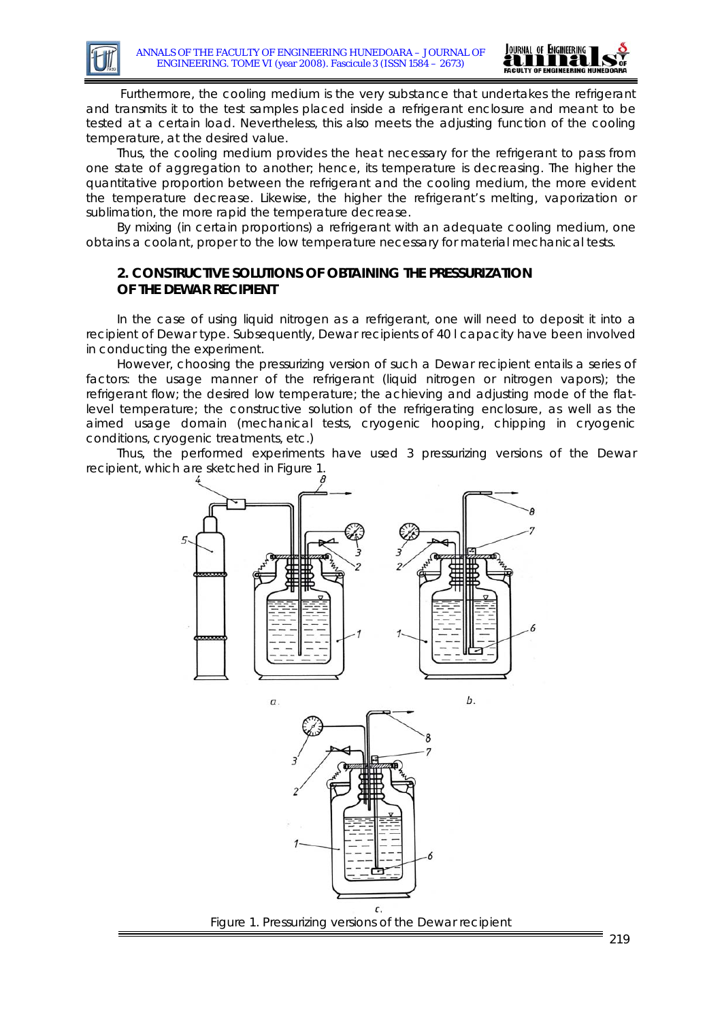

 Furthermore, the *cooling medium* is the very substance that undertakes the refrigerant and transmits it to the test samples placed inside a refrigerant enclosure and meant to be tested at a certain load. Nevertheless, this also meets the adjusting function of the cooling temperature, at the desired value.

Thus, the cooling medium provides the heat necessary for the refrigerant to pass from one state of aggregation to another; hence, its temperature is decreasing. The higher the quantitative proportion between the refrigerant and the cooling medium, the more evident the temperature decrease. Likewise, the higher the refrigerant's melting, vaporization or sublimation, the more rapid the temperature decrease.

By mixing (in certain proportions) a refrigerant with an adequate cooling medium, one obtains a *coolant*, proper to the low temperature necessary for material mechanical tests.

## **2. CONSTRUCTIVE SOLUTIONS OF OBTAINING THE PRESSURIZATION OF THE DEWAR RECIPIENT**

In the case of using liquid nitrogen as a refrigerant, one will need to deposit it into a recipient of Dewar type. Subsequently, Dewar recipients of 40 l capacity have been involved in conducting the experiment.

However, choosing the pressurizing version of such a Dewar recipient entails a series of factors: the usage manner of the refrigerant (liquid nitrogen or nitrogen vapors); the refrigerant flow; the desired low temperature; the achieving and adjusting mode of the flatlevel temperature; the constructive solution of the refrigerating enclosure, as well as the aimed usage domain (mechanical tests, cryogenic hooping, chipping in cryogenic conditions, cryogenic treatments, etc.)

Thus, the performed experiments have used 3 pressurizing versions of the Dewar recipient, which are sketched in Figure 1.







b.

Figure 1. Pressurizing versions of the Dewar recipient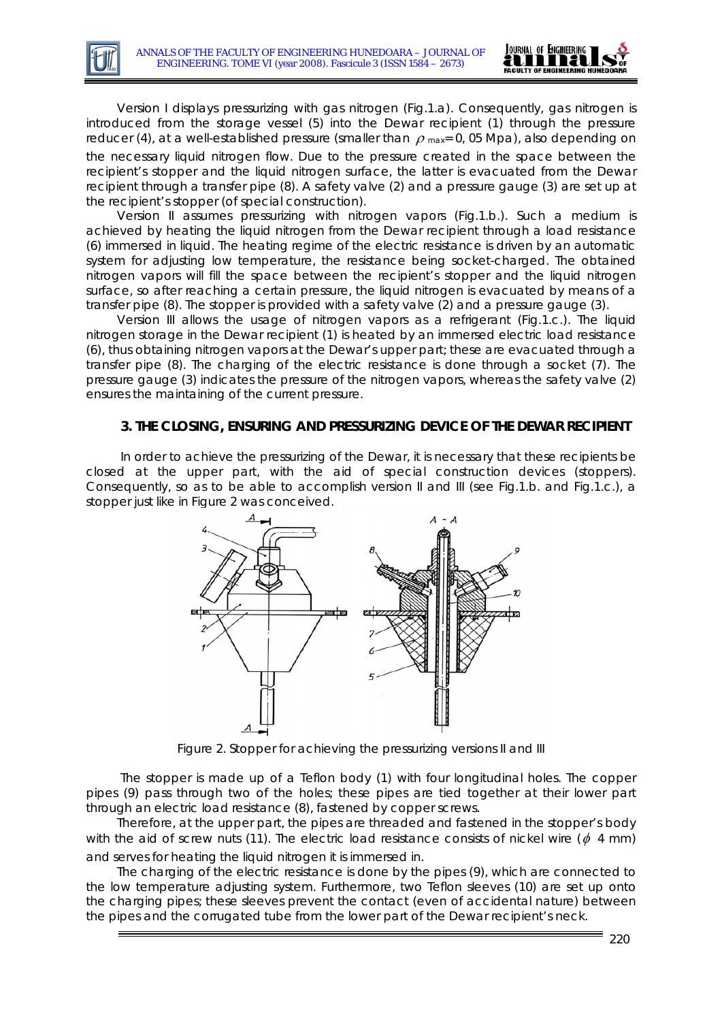

*Version I* displays pressurizing with gas nitrogen (Fig.1.a). Consequently, gas nitrogen is introduced from the storage vessel (5) into the Dewar recipient (1) through the pressure reducer (4), at a well-established pressure (smaller than  $\rho$  max= 0, 05 Mpa), also depending on the necessary liquid nitrogen flow. Due to the pressure created in the space between the recipient's stopper and the liquid nitrogen surface, the latter is evacuated from the Dewar recipient through a transfer pipe (8). A safety valve (2) and a pressure gauge (3) are set up at the recipient's stopper (of special construction).

*Version II* assumes pressurizing with nitrogen vapors (Fig.1.b.). Such a medium is achieved by heating the liquid nitrogen from the Dewar recipient through a load resistance (6) immersed in liquid. The heating regime of the electric resistance is driven by an automatic system for adjusting low temperature, the resistance being socket-charged. The obtained nitrogen vapors will fill the space between the recipient's stopper and the liquid nitrogen surface, so after reaching a certain pressure, the liquid nitrogen is evacuated by means of a transfer pipe (8). The stopper is provided with a safety valve (2) and a pressure gauge (3).

*Version III* allows the usage of nitrogen vapors as a refrigerant (Fig.1.c.). The liquid nitrogen storage in the Dewar recipient (1) is heated by an immersed electric load resistance (6), thus obtaining nitrogen vapors at the Dewar's upper part; these are evacuated through a transfer pipe (8). The charging of the electric resistance is done through a socket (7). The pressure gauge (3) indicates the pressure of the nitrogen vapors, whereas the safety valve (2) ensures the maintaining of the current pressure.

#### **3. THE CLOSING, ENSURING AND PRESSURIZING DEVICE OF THE DEWAR RECIPIENT**

In order to achieve the pressurizing of the Dewar, it is necessary that these recipients be closed at the upper part, with the aid of special construction devices (stoppers). Consequently, so as to be able to accomplish version II and III (see Fig.1.b. and Fig.1.c.), a stopper just like in Figure 2 was conceived.



Figure 2. Stopper for achieving the pressurizing versions II and III

The stopper is made up of a Teflon body (1) with four longitudinal holes. The copper pipes (9) pass through two of the holes; these pipes are tied together at their lower part through an electric load resistance (8), fastened by copper screws.

Therefore, at the upper part, the pipes are threaded and fastened in the stopper's body with the aid of screw nuts (11). The electric load resistance consists of nickel wire ( $\phi$  4 mm) and serves for heating the liquid nitrogen it is immersed in.

The charging of the electric resistance is done by the pipes (9), which are connected to the low temperature adjusting system. Furthermore, two Teflon sleeves (10) are set up onto the charging pipes; these sleeves prevent the contact (even of accidental nature) between the pipes and the corrugated tube from the lower part of the Dewar recipient's neck.